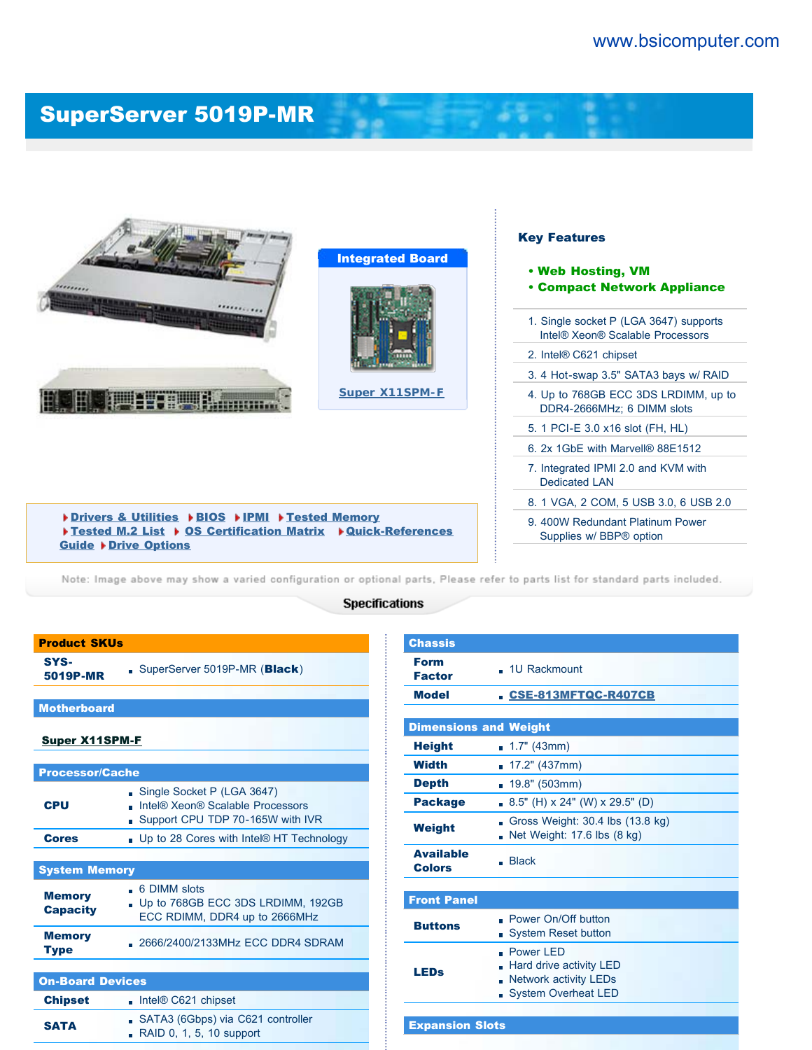## [SuperServer 5019P-MR](http://www.bsicomputer.com/products/5019p-mr-16725)



[Drivers & Utilities](javascript:document.driversForm.submit();) ▶ [BIOS](javascript:document.biosForm.submit();) ▶ [IPMI](javascript:document.ipmiForm.submit();) ▶ [Tested Memory](javascript:document.memoryForm.submit();) ▶ [Tested M.2 List](http://www.supermicro.com/support/resources/M2SSD/display.cfm?SystemID=86061&ProductName=SS5019P-MR) ▶ [OS Certification Matrix](http://www.supermicro.com/support/resources/OS/OS_Certification_Intel.cfm?MProduct_Name=SYS%2D5019P%2DMR) ▶ [Quick-References](javascript:document.quickRefForm.submit();) [Guide](javascript:document.quickRefForm.submit();) > [Drive Options](javascript:document.HDDForm.submit();)

Note: Image above may show a varied configuration or optional parts, Please refer to parts list for standard parts included.

## **Specifications**

| SYS-<br>5019P-MR                 | SuperServer 5019P-MR (Black)                                                                       |  |  |
|----------------------------------|----------------------------------------------------------------------------------------------------|--|--|
|                                  |                                                                                                    |  |  |
| <b>Motherboard</b>               |                                                                                                    |  |  |
| <u>Super X11SPM-F</u>            |                                                                                                    |  |  |
|                                  |                                                                                                    |  |  |
| <b>Processor/Cache</b>           |                                                                                                    |  |  |
| <b>CPU</b>                       | Single Socket P (LGA 3647)<br>Intel® Xeon® Scalable Processors<br>Support CPU TDP 70-165W with IVR |  |  |
| <b>Cores</b>                     | . Up to 28 Cores with Intel® HT Technology                                                         |  |  |
|                                  |                                                                                                    |  |  |
| <b>System Memory</b>             |                                                                                                    |  |  |
| <b>Memory</b><br><b>Capacity</b> | . 6 DIMM slots<br>Up to 768GB ECC 3DS LRDIMM, 192GB<br>ECC RDIMM, DDR4 up to 2666MHz               |  |  |
| <b>Memory</b><br><b>Type</b>     | 2666/2400/2133MHz ECC DDR4 SDRAM                                                                   |  |  |
|                                  |                                                                                                    |  |  |
| <b>On-Board Devices</b>          |                                                                                                    |  |  |
| <b>Chipset</b>                   | $\blacksquare$ Intel® C621 chipset                                                                 |  |  |
| <b>SATA</b>                      | SATA3 (6Gbps) via C621 controller<br>RAID 0, 1, 5, 10 support                                      |  |  |

Product SKUs

| <b>Chassis</b>                    |                                                                                                          |  |  |  |
|-----------------------------------|----------------------------------------------------------------------------------------------------------|--|--|--|
| <b>Form</b><br><b>Factor</b>      | . 1U Rackmount                                                                                           |  |  |  |
| <b>Model</b>                      | <b>CSE-813MFTQC-R407CB</b>                                                                               |  |  |  |
|                                   |                                                                                                          |  |  |  |
|                                   | <b>Dimensions and Weight</b>                                                                             |  |  |  |
| <b>Height</b>                     | $\blacksquare$ 1.7" (43mm)                                                                               |  |  |  |
| Width                             | <b>17.2"</b> (437mm)                                                                                     |  |  |  |
| <b>Depth</b>                      | 19.8" (503mm)                                                                                            |  |  |  |
| <b>Package</b>                    | $-8.5$ " (H) x 24" (W) x 29.5" (D)                                                                       |  |  |  |
| <b>Weight</b>                     | Gross Weight: 30.4 lbs (13.8 kg)<br>Net Weight: 17.6 lbs (8 kg)                                          |  |  |  |
| <b>Available</b><br><b>Colors</b> | $\blacksquare$ Black                                                                                     |  |  |  |
|                                   |                                                                                                          |  |  |  |
| <b>Front Panel</b>                |                                                                                                          |  |  |  |
| <b>Buttons</b>                    | . Power On/Off button<br><b>System Reset button</b><br>$\blacksquare$                                    |  |  |  |
| LEDs                              | . Power <sub>IFD</sub><br>Hard drive activity LED<br><b>Network activity LEDs</b><br>System Overheat LED |  |  |  |
|                                   |                                                                                                          |  |  |  |
| <b>Expansion Slots</b>            |                                                                                                          |  |  |  |

9. 400W Redundant Platinum Power Supplies w/ BBP® option

 $\mathbf{a}$   $\mathbf{a}$   $\mathbf{a}$